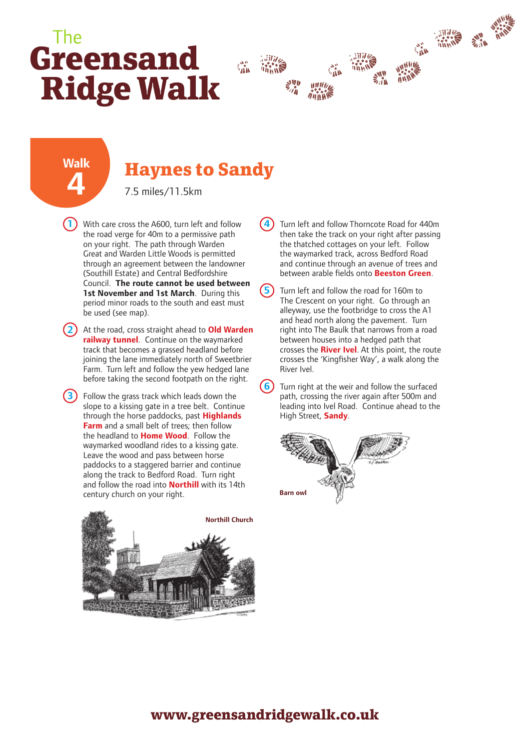## **Greensand Ridge Walk** The



## **Walk 4**

## **Haynes to Sandy**

7.5 miles/11.5km

**1** With care cross the A600, turn left and follow the road verge for 40m to a permissive path on your right. The path through Warden Great and Warden Little Woods is permitted through an agreement between the landowner (Southill Estate) and Central Bedfordshire Council. **The route cannot be used between 1st November and 1st March**. During this period minor roads to the south and east must be used (see map).

**2** At the road, cross straight ahead to **Old Warden railway tunnel**. Continue on the waymarked track that becomes a grassed headland before joining the lane immediately north of Sweetbrier Farm. Turn left and follow the yew hedged lane before taking the second footpath on the right.

**3**) Follow the grass track which leads down the slope to a kissing gate in a tree belt. Continue through the horse paddocks, past **Highlands Farm** and a small belt of trees; then follow the headland to **Home Wood**. Follow the waymarked woodland rides to a kissing gate. Leave the wood and pass between horse paddocks to a staggered barrier and continue along the track to Bedford Road. Turn right and follow the road into **Northill** with its 14th century church on your right.



**4** Turn left and follow Thorncote Road for 440m then take the track on your right after passing the thatched cottages on your left. Follow the waymarked track, across Bedford Road and continue through an avenue of trees and between arable fields onto **Beeston Green**.

Turn left and follow the road for 160m to The Crescent on your right. Go through an alleyway, use the footbridge to cross the A1 and head north along the pavement. Turn right into The Baulk that narrows from a road between houses into a hedged path that crosses the **River Ivel**. At this point, the route crosses the 'Kingfisher Way', a walk along the River Ivel.

**6** Turn right at the weir and follow the surfaced path, crossing the river again after 500m and leading into Ivel Road. Continue ahead to the High Street, **Sandy**.



## **www.greensandridgewalk.co.uk**

**5**